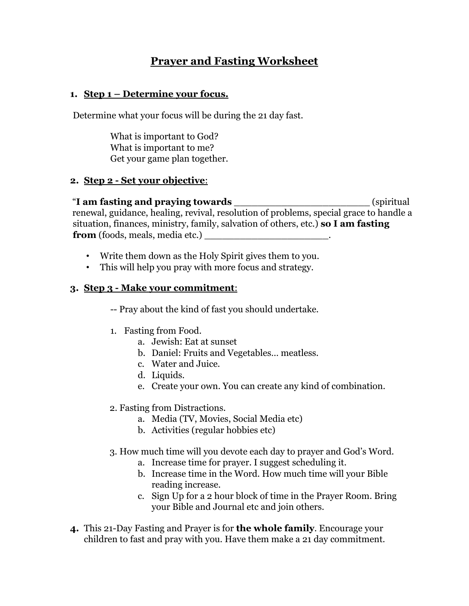## **Prayer and Fasting Worksheet**

#### **1. Step 1 – Determine your focus.**

Determine what your focus will be during the 21 day fast.

What is important to God? What is important to me? Get your game plan together.

#### **2. Step 2 - Set your objective**:

"**I am fasting and praying towards** \_\_\_\_\_\_\_\_\_\_\_\_\_\_\_\_\_\_\_\_\_\_\_ (spiritual renewal, guidance, healing, revival, resolution of problems, special grace to handle a situation, finances, ministry, family, salvation of others, etc.) **so I am fasting from** (foods, meals, media etc.)

- Write them down as the Holy Spirit gives them to you.
- This will help you pray with more focus and strategy.

#### **3. Step 3 - Make your commitment**:

-- Pray about the kind of fast you should undertake.

- 1. Fasting from Food.
	- a. Jewish: Eat at sunset
	- b. Daniel: Fruits and Vegetables… meatless.
	- c. Water and Juice.
	- d. Liquids.
	- e. Create your own. You can create any kind of combination.
- 2. Fasting from Distractions.
	- a. Media (TV, Movies, Social Media etc)
	- b. Activities (regular hobbies etc)
- 3. How much time will you devote each day to prayer and God's Word.
	- a. Increase time for prayer. I suggest scheduling it.
	- b. Increase time in the Word. How much time will your Bible reading increase.
	- c. Sign Up for a 2 hour block of time in the Prayer Room. Bring your Bible and Journal etc and join others.
- **4.** This 21-Day Fasting and Prayer is for **the whole family**. Encourage your children to fast and pray with you. Have them make a 21 day commitment.